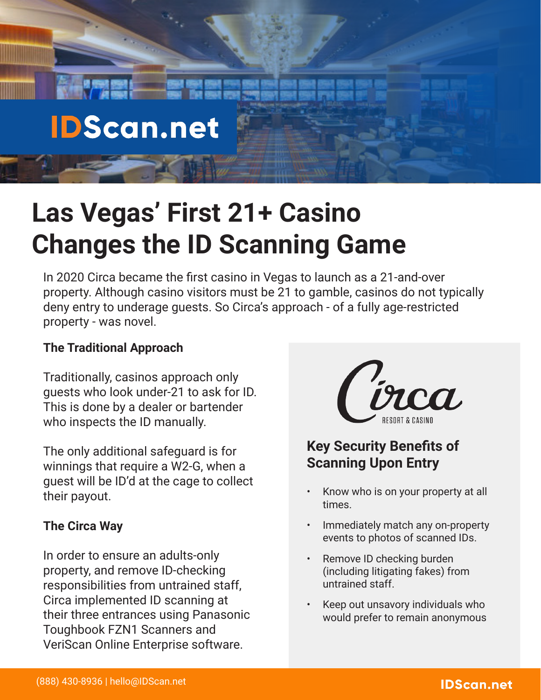# **IDScan.net**

# **Las Vegas' First 21+ Casino Changes the ID Scanning Game**

In 2020 Circa became the first casino in Vegas to launch as a 21-and-over property. Although casino visitors must be 21 to gamble, casinos do not typically deny entry to underage guests. So Circa's approach - of a fully age-restricted property - was novel.

### **The Traditional Approach**

Traditionally, casinos approach only guests who look under-21 to ask for ID. This is done by a dealer or bartender who inspects the ID manually.

The only additional safeguard is for winnings that require a W2-G, when a guest will be ID'd at the cage to collect their payout.

### **The Circa Way**

In order to ensure an adults-only property, and remove ID-checking responsibilities from untrained staff, Circa implemented ID scanning at their three entrances using Panasonic Toughbook FZN1 Scanners and VeriScan Online Enterprise software.



## **Key Security Benefits of Scanning Upon Entry**

- Know who is on your property at all times.
- Immediately match any on-property events to photos of scanned IDs.
- Remove ID checking burden (including litigating fakes) from untrained staff.
- Keep out unsavory individuals who would prefer to remain anonymous

## **IDScan.net**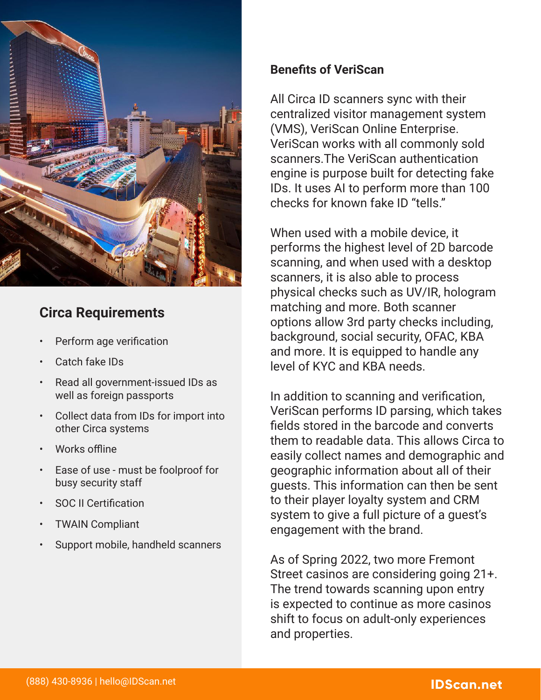

## **Circa Requirements**

- Perform age verification
- Catch fake IDs
- Read all government-issued IDs as well as foreign passports
- Collect data from IDs for import into other Circa systems
- Works offline
- Ease of use must be foolproof for busy security staff
- SOC II Certification
- TWAIN Compliant
- Support mobile, handheld scanners

#### **Benefits of VeriScan**

All Circa ID scanners sync with their centralized visitor management system (VMS), VeriScan Online Enterprise. VeriScan works with all commonly sold scanners.The VeriScan authentication engine is purpose built for detecting fake IDs. It uses AI to perform more than 100 checks for known fake ID "tells."

When used with a mobile device, it performs the highest level of 2D barcode scanning, and when used with a desktop scanners, it is also able to process physical checks such as UV/IR, hologram matching and more. Both scanner options allow 3rd party checks including, background, social security, OFAC, KBA and more. It is equipped to handle any level of KYC and KBA needs.

In addition to scanning and verification, VeriScan performs ID parsing, which takes fields stored in the barcode and converts them to readable data. This allows Circa to easily collect names and demographic and geographic information about all of their guests. This information can then be sent to their player loyalty system and CRM system to give a full picture of a guest's engagement with the brand.

As of Spring 2022, two more Fremont Street casinos are considering going 21+. The trend towards scanning upon entry is expected to continue as more casinos shift to focus on adult-only experiences and properties.